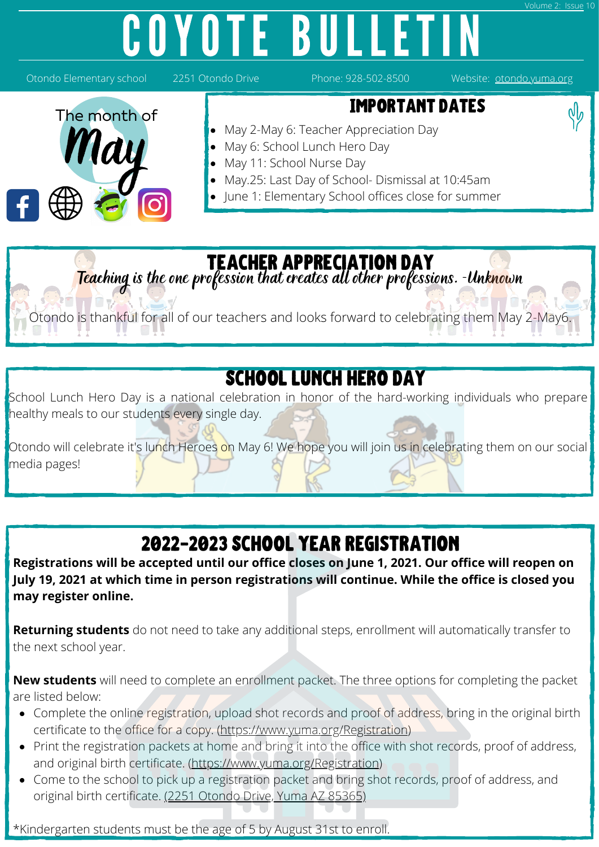# COYOTE BULLETIN



### teacher appreciation day

Teaching is the one profession that creates all other professions. -Unknown

Otondo is thankful for all of our teachers and looks forward to celebrating them May 2-May6.

### SCHOOL LUNCH HERO DAY

School Lunch Hero Day is a national celebration in honor of the hard-working individuals who prepare healthy meals to our students every single day.

Otondo will celebrate it's lunch Heroes on May 6! We hope you will join us in celebrating them on our social media pages!

## 2022-2023 School Year registration

**Registrations will be accepted until our office closes on June 1, 2021. Our office will reopen on July 19, 2021 at which time in person registrations will continue. While the office is closed you may register online.**

**Returning students** do not need to take any additional steps, enrollment will automatically transfer to the next school year.

**New students** will need to complete an enrollment packet. The three options for completing the packet are listed below:

- Complete the online registration, upload shot records and proof of address, bring in the original birth certificate to the office for a copy. ([https://www.yuma.org/Registration\)](https://www.yuma.org/Registration)
- Print the registration packets at home and bring it into the office with shot records, proof of address, and original birth certificate. (<https://www.yuma.org/Registration>)
- Come to the school to pick up a registration packet and bring shot records, proof of address, and original birth certificate. [\(2251 Otondo Drive, Yuma AZ 85365\)](https://otondo.yuma.org/Home)

\*Kindergarten students must be the age of 5 by August 31st to enroll.